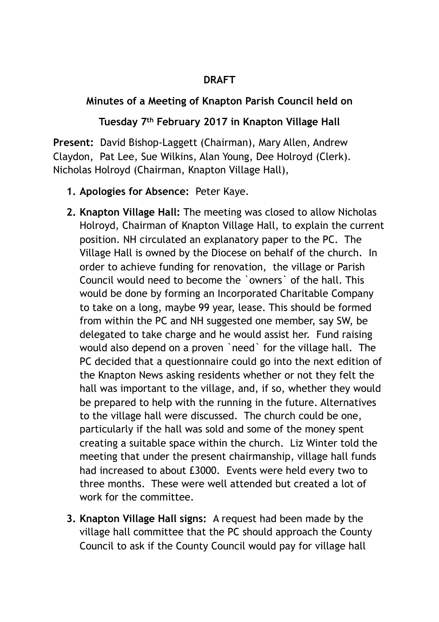## **DRAFT**

## **Minutes of a Meeting of Knapton Parish Council held on**

## **Tuesday 7th February 2017 in Knapton Village Hall**

**Present:** David Bishop-Laggett (Chairman), Mary Allen, Andrew Claydon, Pat Lee, Sue Wilkins, Alan Young, Dee Holroyd (Clerk). Nicholas Holroyd (Chairman, Knapton Village Hall),

- **1. Apologies for Absence:** Peter Kaye.
- **2. Knapton Village Hall:** The meeting was closed to allow Nicholas Holroyd, Chairman of Knapton Village Hall, to explain the current position. NH circulated an explanatory paper to the PC. The Village Hall is owned by the Diocese on behalf of the church. In order to achieve funding for renovation, the village or Parish Council would need to become the `owners` of the hall. This would be done by forming an Incorporated Charitable Company to take on a long, maybe 99 year, lease. This should be formed from within the PC and NH suggested one member, say SW, be delegated to take charge and he would assist her. Fund raising would also depend on a proven `need` for the village hall. The PC decided that a questionnaire could go into the next edition of the Knapton News asking residents whether or not they felt the hall was important to the village, and, if so, whether they would be prepared to help with the running in the future. Alternatives to the village hall were discussed. The church could be one, particularly if the hall was sold and some of the money spent creating a suitable space within the church. Liz Winter told the meeting that under the present chairmanship, village hall funds had increased to about £3000. Events were held every two to three months. These were well attended but created a lot of work for the committee.
- **3. Knapton Village Hall signs:** A request had been made by the village hall committee that the PC should approach the County Council to ask if the County Council would pay for village hall